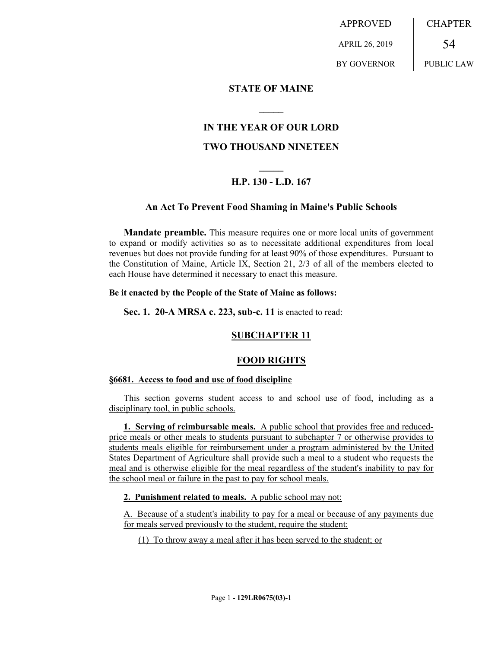APPROVED APRIL 26, 2019 BY GOVERNOR CHAPTER 54 PUBLIC LAW

### **STATE OF MAINE**

## **IN THE YEAR OF OUR LORD**

**\_\_\_\_\_**

## **TWO THOUSAND NINETEEN**

# **\_\_\_\_\_ H.P. 130 - L.D. 167**

#### **An Act To Prevent Food Shaming in Maine's Public Schools**

**Mandate preamble.** This measure requires one or more local units of government to expand or modify activities so as to necessitate additional expenditures from local revenues but does not provide funding for at least 90% of those expenditures. Pursuant to the Constitution of Maine, Article IX, Section 21, 2/3 of all of the members elected to each House have determined it necessary to enact this measure.

#### **Be it enacted by the People of the State of Maine as follows:**

**Sec. 1. 20-A MRSA c. 223, sub-c. 11** is enacted to read:

## **SUBCHAPTER 11**

## **FOOD RIGHTS**

#### **§6681. Access to food and use of food discipline**

This section governs student access to and school use of food, including as a disciplinary tool, in public schools.

**1. Serving of reimbursable meals.** A public school that provides free and reducedprice meals or other meals to students pursuant to subchapter 7 or otherwise provides to students meals eligible for reimbursement under a program administered by the United States Department of Agriculture shall provide such a meal to a student who requests the meal and is otherwise eligible for the meal regardless of the student's inability to pay for the school meal or failure in the past to pay for school meals.

**2. Punishment related to meals.** A public school may not:

A. Because of a student's inability to pay for a meal or because of any payments due for meals served previously to the student, require the student:

(1) To throw away a meal after it has been served to the student; or